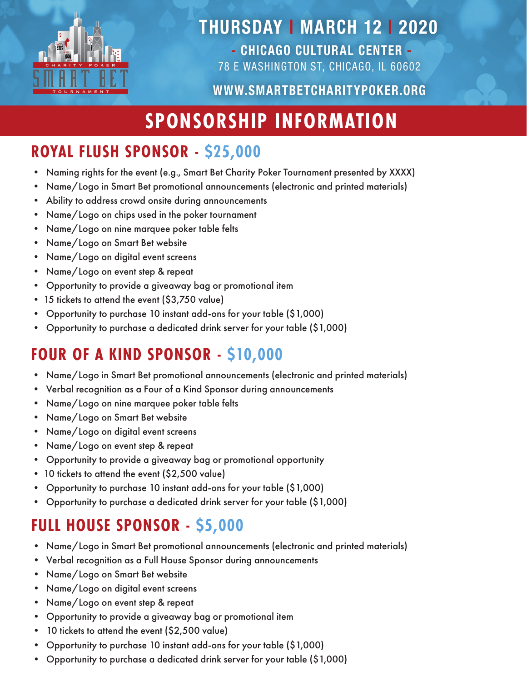

### THURSDAY | MARCH 12 | 2020

- CHICAGO CULTURAL CENTER - 78 E WASHINGTON ST, CHICAGO, IL 60602

#### WWW.SMARTBETCHARITYPOKER.ORG

# **SPONSORSHIP INFORMATION**

#### **ROYAL FLUSH SPONSOR - \$25,000**

- Naming rights for the event (e.g., Smart Bet Charity Poker Tournament presented by XXXX)
- Name/Logo in Smart Bet promotional announcements (electronic and printed materials)
- Ability to address crowd onsite during announcements
- Name/Logo on chips used in the poker tournament
- Name/Logo on nine marquee poker table felts
- Name/Logo on Smart Bet website
- Name/Logo on digital event screens
- Name/Logo on event step & repeat
- Opportunity to provide a giveaway bag or promotional item
- 15 tickets to attend the event (\$3,750 value)
- Opportunity to purchase 10 instant add-ons for your table (\$1,000)
- Opportunity to purchase a dedicated drink server for your table (\$1,000)

#### **FOUR OF A KIND SPONSOR - \$10,000**

- Name/Logo in Smart Bet promotional announcements (electronic and printed materials)
- Verbal recognition as a Four of a Kind Sponsor during announcements
- Name/Logo on nine marquee poker table felts
- Name/Logo on Smart Bet website
- Name/Logo on digital event screens
- Name/Logo on event step & repeat
- Opportunity to provide a giveaway bag or promotional opportunity
- 10 tickets to attend the event (\$2,500 value)
- Opportunity to purchase 10 instant add-ons for your table (\$1,000)
- Opportunity to purchase a dedicated drink server for your table (\$1,000)

### **FULL HOUSE SPONSOR - \$5,000**

- Name/Logo in Smart Bet promotional announcements (electronic and printed materials)
- Verbal recognition as a Full House Sponsor during announcements
- Name/Logo on Smart Bet website
- Name/Logo on digital event screens
- Name/Logo on event step & repeat
- Opportunity to provide a giveaway bag or promotional item
- 10 tickets to attend the event (\$2,500 value)
- Opportunity to purchase 10 instant add-ons for your table (\$1,000)
- Opportunity to purchase a dedicated drink server for your table (\$1,000)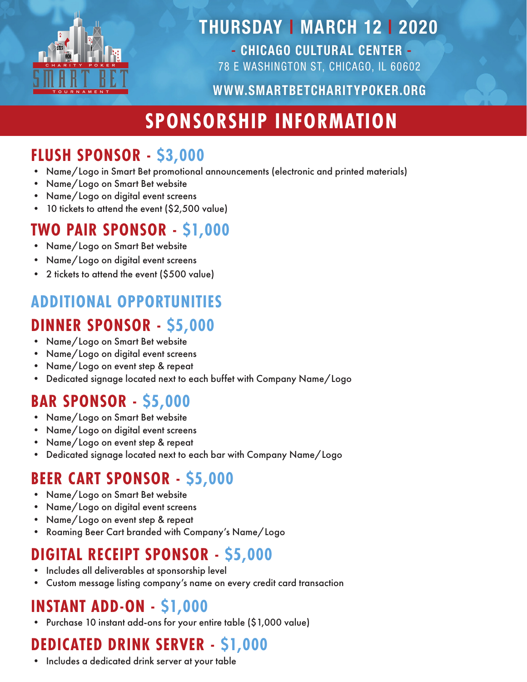

### THURSDAY | MARCH 12 | 2020

- CHICAGO CULTURAL CENTER - 78 E WASHINGTON ST, CHICAGO, IL 60602

#### WWW.SMARTBETCHARITYPOKER.ORG

# **SPONSORSHIP INFORMATION**

#### **FLUSH SPONSOR - \$3,000**

- Name/Logo in Smart Bet promotional announcements (electronic and printed materials)
- Name/Logo on Smart Bet website
- Name/Logo on digital event screens
- 10 tickets to attend the event (\$2,500 value)

#### **TWO PAIR SPONSOR - \$1,000**

- Name/Logo on Smart Bet website
- Name/Logo on digital event screens
- 2 tickets to attend the event (\$500 value)

#### **ADDITIONAL OPPORTUNITIES**

#### **DINNER SPONSOR - \$5,000**

- Name/Logo on Smart Bet website
- Name/Logo on digital event screens
- Name/Logo on event step & repeat
- Dedicated signage located next to each buffet with Company Name/Logo

### **BAR SPONSOR - \$5,000**

- Name/Logo on Smart Bet website
- Name/Logo on digital event screens
- Name/Logo on event step & repeat
- Dedicated signage located next to each bar with Company Name/Logo

#### **BEER CART SPONSOR - \$5,000**

- Name/Logo on Smart Bet website
- Name/Logo on digital event screens
- Name/Logo on event step & repeat
- Roaming Beer Cart branded with Company's Name/Logo

#### **DIGITAL RECEIPT SPONSOR - \$5,000**

- Includes all deliverables at sponsorship level
- Custom message listing company's name on every credit card transaction

#### **INSTANT ADD-ON - \$1,000**

• Purchase 10 instant add-ons for your entire table (\$1,000 value)

## **DEDICATED DRINK SERVER - \$1,000**

• Includes a dedicated drink server at your table